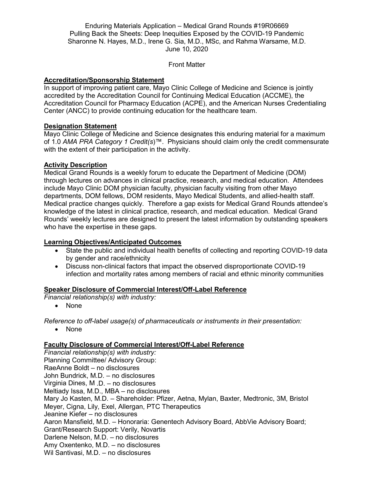Enduring Materials Application – Medical Grand Rounds #19R06669 Pulling Back the Sheets: Deep Inequities Exposed by the COVID-19 Pandemic Sharonne N. Hayes, M.D., Irene G. Sia, M.D., MSc, and Rahma Warsame, M.D. June 10, 2020

## Front Matter

## **Accreditation/Sponsorship Statement**

In support of improving patient care, Mayo Clinic College of Medicine and Science is jointly accredited by the Accreditation Council for Continuing Medical Education (ACCME), the Accreditation Council for Pharmacy Education (ACPE), and the American Nurses Credentialing Center (ANCC) to provide continuing education for the healthcare team.

## **Designation Statement**

Mayo Clinic College of Medicine and Science designates this enduring material for a maximum of 1.0 *AMA PRA Category 1 Credit(s*)™. Physicians should claim only the credit commensurate with the extent of their participation in the activity.

## **Activity Description**

Medical Grand Rounds is a weekly forum to educate the Department of Medicine (DOM) through lectures on advances in clinical practice, research, and medical education. Attendees include Mayo Clinic DOM physician faculty, physician faculty visiting from other Mayo departments, DOM fellows, DOM residents, Mayo Medical Students, and allied-health staff. Medical practice changes quickly. Therefore a gap exists for Medical Grand Rounds attendee's knowledge of the latest in clinical practice, research, and medical education. Medical Grand Rounds' weekly lectures are designed to present the latest information by outstanding speakers who have the expertise in these gaps.

#### **Learning Objectives/Anticipated Outcomes**

- State the public and individual health benefits of collecting and reporting COVID-19 data by gender and race/ethnicity
- Discuss non-clinical factors that impact the observed disproportionate COVID-19 infection and mortality rates among members of racial and ethnic minority communities

#### **Speaker Disclosure of Commercial Interest/Off-Label Reference**

*Financial relationship(s) with industry:*

• None

*Reference to off-label usage(s) of pharmaceuticals or instruments in their presentation:*

• None

## **Faculty Disclosure of Commercial Interest/Off-Label Reference**

*Financial relationship(s) with industry:* Planning Committee/ Advisory Group: RaeAnne Boldt – no disclosures John Bundrick, M.D. – no disclosures Virginia Dines, M .D. – no disclosures Meltiady Issa, M.D., MBA – no disclosures Mary Jo Kasten, M.D. – Shareholder: Pfizer, Aetna, Mylan, Baxter, Medtronic, 3M, Bristol Meyer, Cigna, Lily, Exel, Allergan, PTC Therapeutics Jeanine Kiefer – no disclosures Aaron Mansfield, M.D. – Honoraria: Genentech Advisory Board, AbbVie Advisory Board; Grant/Research Support: Verily, Novartis Darlene Nelson, M.D. – no disclosures Amy Oxentenko, M.D. – no disclosures Wil Santivasi, M.D. – no disclosures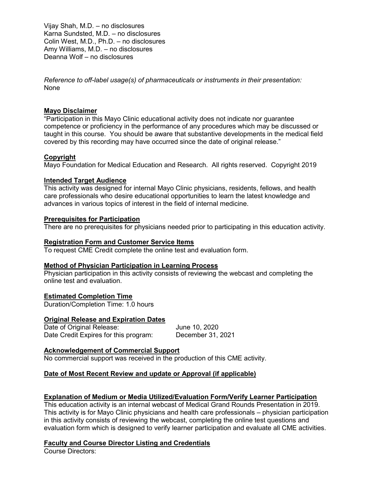Vijay Shah, M.D. – no disclosures Karna Sundsted, M.D. – no disclosures Colin West, M.D., Ph.D. – no disclosures Amy Williams, M.D. – no disclosures Deanna Wolf – no disclosures

*Reference to off-label usage(s) of pharmaceuticals or instruments in their presentation:* None

## **Mayo Disclaimer**

"Participation in this Mayo Clinic educational activity does not indicate nor guarantee competence or proficiency in the performance of any procedures which may be discussed or taught in this course. You should be aware that substantive developments in the medical field covered by this recording may have occurred since the date of original release."

## **Copyright**

Mayo Foundation for Medical Education and Research. All rights reserved. Copyright 2019

#### **Intended Target Audience**

This activity was designed for internal Mayo Clinic physicians, residents, fellows, and health care professionals who desire educational opportunities to learn the latest knowledge and advances in various topics of interest in the field of internal medicine.

## **Prerequisites for Participation**

There are no prerequisites for physicians needed prior to participating in this education activity.

#### **Registration Form and Customer Service Items**

To request CME Credit complete the online test and evaluation form.

#### **Method of Physician Participation in Learning Process**

Physician participation in this activity consists of reviewing the webcast and completing the online test and evaluation.

#### **Estimated Completion Time**

Duration/Completion Time: 1.0 hours

#### **Original Release and Expiration Dates**

Date of Original Release: June 10, 2020 Date Credit Expires for this program: December 31, 2021

## **Acknowledgement of Commercial Support**

No commercial support was received in the production of this CME activity.

# **Date of Most Recent Review and update or Approval (if applicable)**

## **Explanation of Medium or Media Utilized/Evaluation Form/Verify Learner Participation**

This education activity is an internal webcast of Medical Grand Rounds Presentation in 2019. This activity is for Mayo Clinic physicians and health care professionals – physician participation in this activity consists of reviewing the webcast, completing the online test questions and evaluation form which is designed to verify learner participation and evaluate all CME activities.

## **Faculty and Course Director Listing and Credentials**

Course Directors: